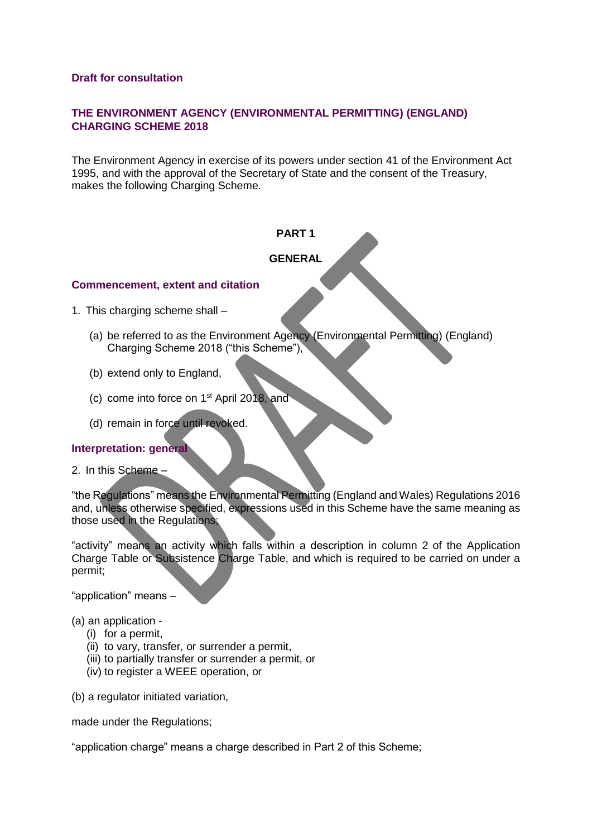## **Draft for consultation**

# **THE ENVIRONMENT AGENCY (ENVIRONMENTAL PERMITTING) (ENGLAND) CHARGING SCHEME 2018**

The Environment Agency in exercise of its powers under section 41 of the Environment Act 1995, and with the approval of the Secretary of State and the consent of the Treasury, makes the following Charging Scheme.

# **PART 1**

# **GENERAL**

### **Commencement, extent and citation**

1. This charging scheme shall –

- (a) be referred to as the Environment Agency (Environmental Permitting) (England) Charging Scheme 2018 ("this Scheme"),
- (b) extend only to England,
- (c) come into force on 1st April 2018, and
- (d) remain in force until revoked.

# **Interpretation: general**

2. In this Scheme –

"the Regulations" means the Environmental Permitting (England and Wales) Regulations 2016 and, unless otherwise specified, expressions used in this Scheme have the same meaning as those used in the Regulations;

"activity" means an activity which falls within a description in column 2 of the Application Charge Table or Subsistence Charge Table, and which is required to be carried on under a permit;

"application" means –

(a) an application -

- (i) for a permit,
- (ii) to vary, transfer, or surrender a permit,
- (iii) to partially transfer or surrender a permit, or
- (iv) to register a WEEE operation, or

(b) a regulator initiated variation,

made under the Regulations;

"application charge" means a charge described in Part 2 of this Scheme;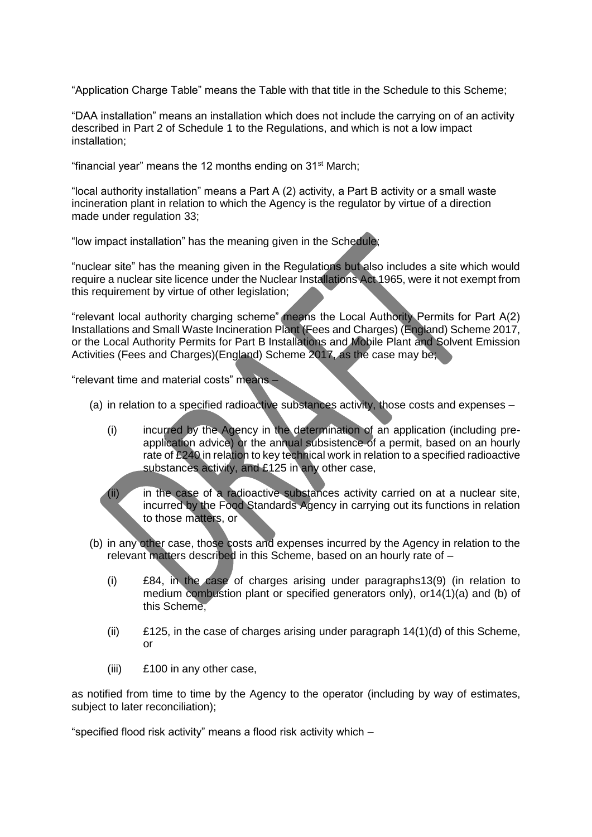"Application Charge Table" means the Table with that title in the Schedule to this Scheme;

"DAA installation" means an installation which does not include the carrying on of an activity described in Part 2 of Schedule 1 to the Regulations, and which is not a low impact installation;

"financial year" means the 12 months ending on  $31<sup>st</sup>$  March;

"local authority installation" means a Part A (2) activity, a Part B activity or a small waste incineration plant in relation to which the Agency is the regulator by virtue of a direction made under regulation 33;

"low impact installation" has the meaning given in the Schedule;

"nuclear site" has the meaning given in the Regulations but also includes a site which would require a nuclear site licence under the Nuclear Installations Act 1965, were it not exempt from this requirement by virtue of other legislation;

"relevant local authority charging scheme" means the Local Authority Permits for Part A(2) Installations and Small Waste Incineration Plant (Fees and Charges) (England) Scheme 2017, or the Local Authority Permits for Part B Installations and Mobile Plant and Solvent Emission Activities (Fees and Charges)(England) Scheme 2017, as the case may be;

"relevant time and material costs" means –

- (a) in relation to a specified radioactive substances activity, those costs and expenses
	- (i) incurred by the Agency in the determination of an application (including preapplication advice) or the annual subsistence of a permit, based on an hourly rate of £240 in relation to key technical work in relation to a specified radioactive substances activity, and £125 in any other case,

(ii) in the case of a radioactive substances activity carried on at a nuclear site, incurred by the Food Standards Agency in carrying out its functions in relation to those matters, or

- (b) in any other case, those costs and expenses incurred by the Agency in relation to the relevant matters described in this Scheme, based on an hourly rate of –
	- (i) £84, in the case of charges arising under paragraphs13(9) (in relation to medium combustion plant or specified generators only), or14(1)(a) and (b) of this Scheme,
	- (ii) £125, in the case of charges arising under paragraph 14(1)(d) of this Scheme, or
	- (iii) £100 in any other case,

as notified from time to time by the Agency to the operator (including by way of estimates, subject to later reconciliation);

"specified flood risk activity" means a flood risk activity which –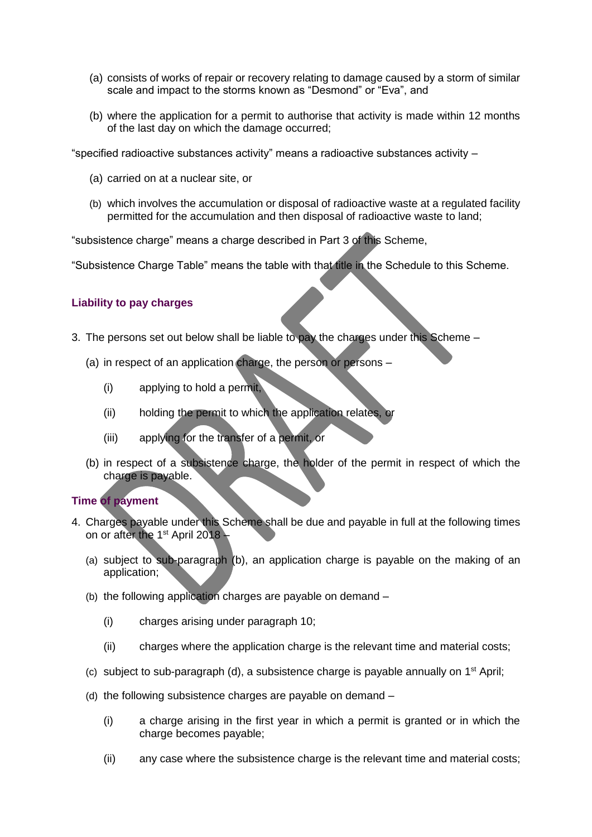- (a) consists of works of repair or recovery relating to damage caused by a storm of similar scale and impact to the storms known as "Desmond" or "Eva", and
- (b) where the application for a permit to authorise that activity is made within 12 months of the last day on which the damage occurred;

"specified radioactive substances activity" means a radioactive substances activity –

- (a) carried on at a nuclear site, or
- (b) which involves the accumulation or disposal of radioactive waste at a regulated facility permitted for the accumulation and then disposal of radioactive waste to land;

"subsistence charge" means a charge described in Part 3 of this Scheme,

"Subsistence Charge Table" means the table with that title in the Schedule to this Scheme.

### **Liability to pay charges**

- 3. The persons set out below shall be liable to pay the charges under this Scheme
	- (a) in respect of an application charge, the person or persons
		- (i) applying to hold a permit,
		- (ii) holding the permit to which the application relates, or
		- (iii) applying for the transfer of a permit, or
	- (b) in respect of a subsistence charge, the holder of the permit in respect of which the charge is payable.

#### **Time of payment**

- 4. Charges payable under this Scheme shall be due and payable in full at the following times on or after the 1<sup>st</sup> April 2018 -
	- (a) subject to sub-paragraph (b), an application charge is payable on the making of an application;
	- (b) the following application charges are payable on demand
		- (i) charges arising under paragraph 10;
		- (ii) charges where the application charge is the relevant time and material costs;
	- (c) subject to sub-paragraph (d), a subsistence charge is payable annually on  $1<sup>st</sup>$  April;
	- (d) the following subsistence charges are payable on demand
		- (i) a charge arising in the first year in which a permit is granted or in which the charge becomes payable;
		- (ii) any case where the subsistence charge is the relevant time and material costs;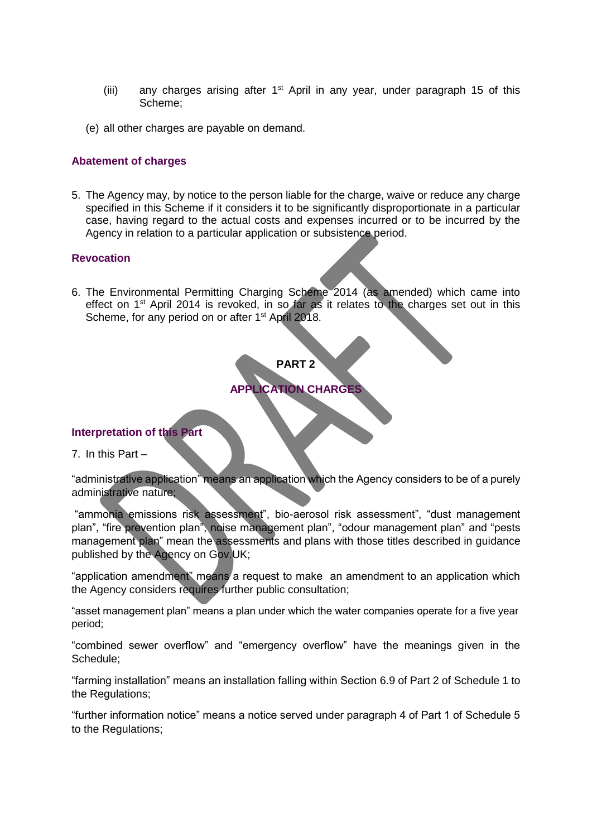- (iii) any charges arising after  $1<sup>st</sup>$  April in any year, under paragraph 15 of this Scheme;
- (e) all other charges are payable on demand.

#### **Abatement of charges**

5. The Agency may, by notice to the person liable for the charge, waive or reduce any charge specified in this Scheme if it considers it to be significantly disproportionate in a particular case, having regard to the actual costs and expenses incurred or to be incurred by the Agency in relation to a particular application or subsistence period.

#### **Revocation**

6. The Environmental Permitting Charging Scheme 2014 (as amended) which came into effect on 1<sup>st</sup> April 2014 is revoked, in so far as it relates to the charges set out in this Scheme, for any period on or after 1<sup>st</sup> April 2018.

# **PART 2**

# **APPLICATION CHARGES**

#### **Interpretation of this Part**

7. In this Part –

"administrative application" means an application which the Agency considers to be of a purely administrative nature;

"ammonia emissions risk assessment", bio-aerosol risk assessment", "dust management plan", "fire prevention plan", noise management plan", "odour management plan" and "pests management plan" mean the assessments and plans with those titles described in guidance published by the Agency on Gov.UK;

"application amendment" means a request to make an amendment to an application which the Agency considers requires further public consultation;

"asset management plan" means a plan under which the water companies operate for a five year period;

"combined sewer overflow" and "emergency overflow" have the meanings given in the Schedule;

"farming installation" means an installation falling within Section 6.9 of Part 2 of Schedule 1 to the Regulations;

"further information notice" means a notice served under paragraph 4 of Part 1 of Schedule 5 to the Regulations;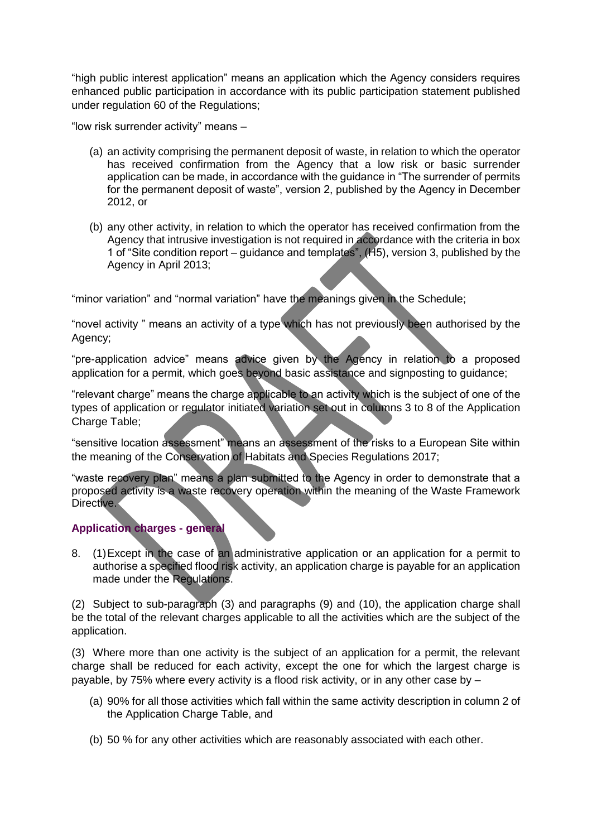"high public interest application" means an application which the Agency considers requires enhanced public participation in accordance with its public participation statement published under regulation 60 of the Regulations;

"low risk surrender activity" means –

- (a) an activity comprising the permanent deposit of waste, in relation to which the operator has received confirmation from the Agency that a low risk or basic surrender application can be made, in accordance with the guidance in "The surrender of permits for the permanent deposit of waste", version 2, published by the Agency in December 2012, or
- (b) any other activity, in relation to which the operator has received confirmation from the Agency that intrusive investigation is not required in accordance with the criteria in box 1 of "Site condition report – guidance and templates", (H5), version 3, published by the Agency in April 2013;

"minor variation" and "normal variation" have the meanings given in the Schedule;

"novel activity " means an activity of a type which has not previously been authorised by the Agency;

"pre-application advice" means advice given by the Agency in relation to a proposed application for a permit, which goes beyond basic assistance and signposting to guidance;

"relevant charge" means the charge applicable to an activity which is the subject of one of the types of application or regulator initiated variation set out in columns 3 to 8 of the Application Charge Table;

"sensitive location assessment" means an assessment of the risks to a European Site within the meaning of the Conservation of Habitats and Species Regulations 2017;

"waste recovery plan" means a plan submitted to the Agency in order to demonstrate that a proposed activity is a waste recovery operation within the meaning of the Waste Framework Directive.

# **Application charges - general**

8. (1)Except in the case of an administrative application or an application for a permit to authorise a specified flood risk activity, an application charge is payable for an application made under the Regulations.

(2) Subject to sub-paragraph (3) and paragraphs (9) and (10), the application charge shall be the total of the relevant charges applicable to all the activities which are the subject of the application.

(3) Where more than one activity is the subject of an application for a permit, the relevant charge shall be reduced for each activity, except the one for which the largest charge is payable, by 75% where every activity is a flood risk activity, or in any other case by –

- (a) 90% for all those activities which fall within the same activity description in column 2 of the Application Charge Table, and
- (b) 50 % for any other activities which are reasonably associated with each other.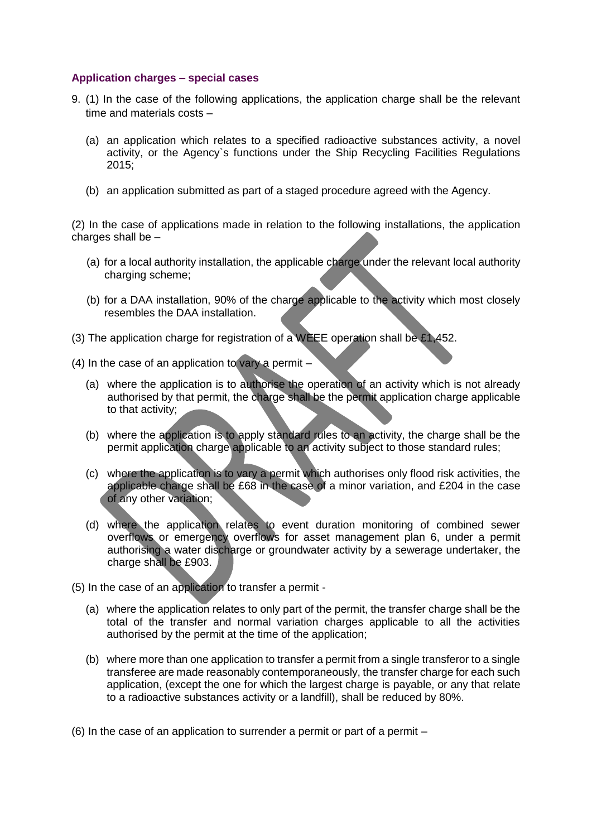## **Application charges – special cases**

- 9. (1) In the case of the following applications, the application charge shall be the relevant time and materials costs –
	- (a) an application which relates to a specified radioactive substances activity, a novel activity, or the Agency`s functions under the Ship Recycling Facilities Regulations 2015;
	- (b) an application submitted as part of a staged procedure agreed with the Agency.

(2) In the case of applications made in relation to the following installations, the application charges shall be  $-$ 

- (a) for a local authority installation, the applicable charge under the relevant local authority charging scheme;
- (b) for a DAA installation, 90% of the charge applicable to the activity which most closely resembles the DAA installation.
- (3) The application charge for registration of a WEEE operation shall be £1,452.
- (4) In the case of an application to vary a permit
	- (a) where the application is to authorise the operation of an activity which is not already authorised by that permit, the charge shall be the permit application charge applicable to that activity;
	- (b) where the application is to apply standard rules to an activity, the charge shall be the permit application charge applicable to an activity subject to those standard rules;
	- (c) where the application is to vary a permit which authorises only flood risk activities, the applicable charge shall be £68 in the case of a minor variation, and £204 in the case of any other variation;
	- (d) where the application relates to event duration monitoring of combined sewer overflows or emergency overflows for asset management plan 6, under a permit authorising a water discharge or groundwater activity by a sewerage undertaker, the charge shall be £903.
- (5) In the case of an application to transfer a permit
	- (a) where the application relates to only part of the permit, the transfer charge shall be the total of the transfer and normal variation charges applicable to all the activities authorised by the permit at the time of the application;
	- (b) where more than one application to transfer a permit from a single transferor to a single transferee are made reasonably contemporaneously, the transfer charge for each such application, (except the one for which the largest charge is payable, or any that relate to a radioactive substances activity or a landfill), shall be reduced by 80%.

(6) In the case of an application to surrender a permit or part of a permit  $-$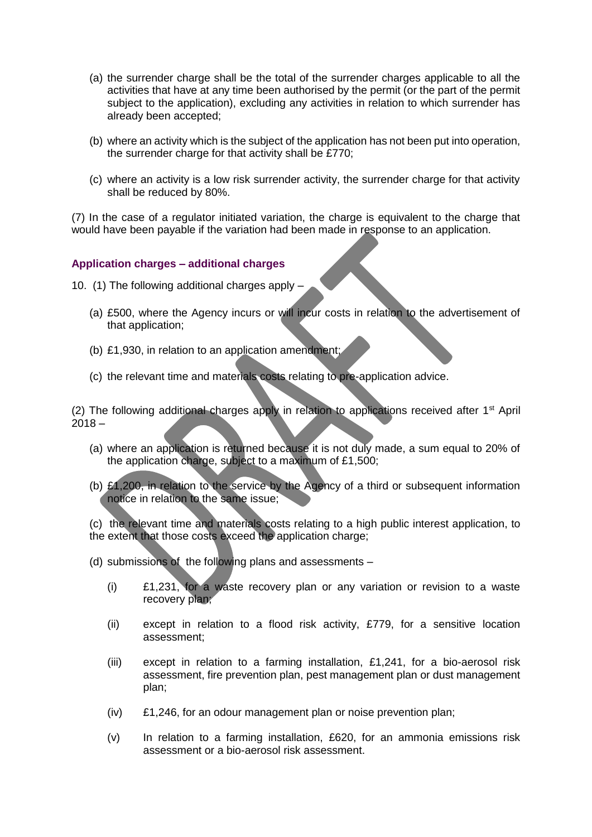- (a) the surrender charge shall be the total of the surrender charges applicable to all the activities that have at any time been authorised by the permit (or the part of the permit subject to the application), excluding any activities in relation to which surrender has already been accepted;
- (b) where an activity which is the subject of the application has not been put into operation, the surrender charge for that activity shall be £770;
- (c) where an activity is a low risk surrender activity, the surrender charge for that activity shall be reduced by 80%.

(7) In the case of a regulator initiated variation, the charge is equivalent to the charge that would have been payable if the variation had been made in response to an application.

### **Application charges – additional charges**

- 10. (1) The following additional charges apply
	- (a) £500, where the Agency incurs or will incur costs in relation to the advertisement of that application;
	- (b) £1,930, in relation to an application amendment;
	- (c) the relevant time and materials costs relating to pre-application advice.

(2) The following additional charges apply in relation to applications received after  $1<sup>st</sup>$  April  $2018 -$ 

- (a) where an application is returned because it is not duly made, a sum equal to 20% of the application charge, subject to a maximum of £1,500;
- (b) £1,200, in relation to the service by the Agency of a third or subsequent information notice in relation to the same issue;

(c) the relevant time and materials costs relating to a high public interest application, to the extent that those costs exceed the application charge;

- (d) submissions of the following plans and assessments
	- (i) £1,231, for a waste recovery plan or any variation or revision to a waste recovery plan;
	- (ii) except in relation to a flood risk activity, £779, for a sensitive location assessment;
	- (iii) except in relation to a farming installation, £1,241, for a bio-aerosol risk assessment, fire prevention plan, pest management plan or dust management plan;
	- (iv) £1,246, for an odour management plan or noise prevention plan;
	- (v) In relation to a farming installation, £620, for an ammonia emissions risk assessment or a bio-aerosol risk assessment.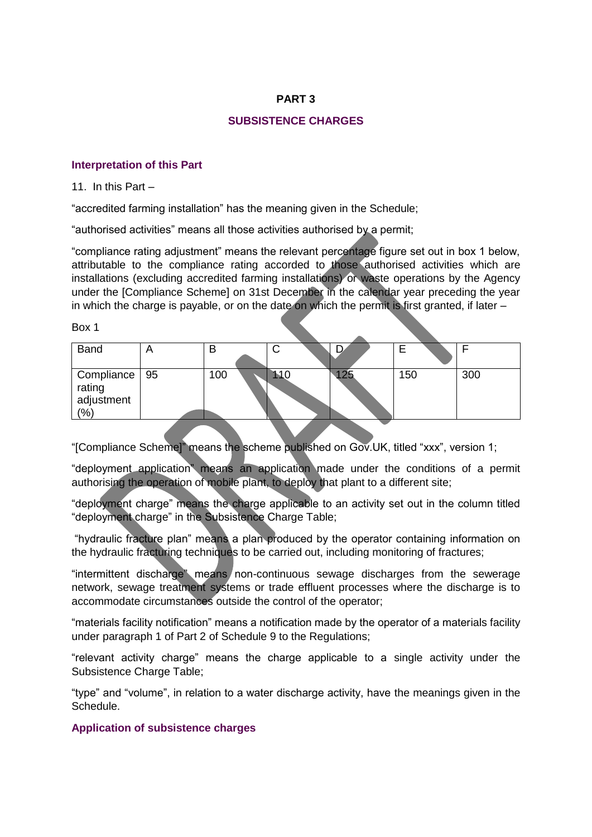# **PART 3**

# **SUBSISTENCE CHARGES**

## **Interpretation of this Part**

11. In this Part –

"accredited farming installation" has the meaning given in the Schedule;

"authorised activities" means all those activities authorised by a permit;

"compliance rating adjustment" means the relevant percentage figure set out in box 1 below, attributable to the compliance rating accorded to those authorised activities which are installations (excluding accredited farming installations) or waste operations by the Agency under the [Compliance Scheme] on 31st December in the calendar year preceding the year in which the charge is payable, or on the date on which the permit is first granted, if later –

Box 1

| <b>Band</b>                                     | в   | ັ   |     |     |
|-------------------------------------------------|-----|-----|-----|-----|
| Compliance   95<br>rating<br>adjustment<br>(% ) | 100 | 10⊾ | 150 | 300 |

"[Compliance Scheme]" means the scheme published on Gov.UK, titled "xxx", version 1;

"deployment application" means an application made under the conditions of a permit authorising the operation of mobile plant, to deploy that plant to a different site;

"deployment charge" means the charge applicable to an activity set out in the column titled "deployment charge" in the Subsistence Charge Table;

"hydraulic fracture plan" means a plan produced by the operator containing information on the hydraulic fracturing techniques to be carried out, including monitoring of fractures;

"intermittent discharge" means non-continuous sewage discharges from the sewerage network, sewage treatment systems or trade effluent processes where the discharge is to accommodate circumstances outside the control of the operator;

"materials facility notification" means a notification made by the operator of a materials facility under paragraph 1 of Part 2 of Schedule 9 to the Regulations;

"relevant activity charge" means the charge applicable to a single activity under the Subsistence Charge Table;

"type" and "volume", in relation to a water discharge activity, have the meanings given in the Schedule.

# **Application of subsistence charges**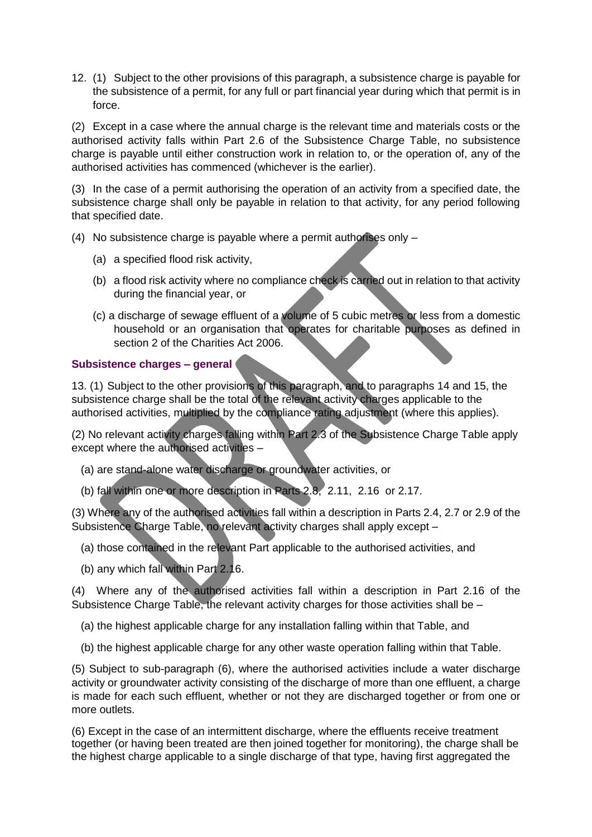12. (1) Subject to the other provisions of this paragraph, a subsistence charge is payable for the subsistence of a permit, for any full or part financial year during which that permit is in force.

(2) Except in a case where the annual charge is the relevant time and materials costs or the authorised activity falls within Part 2.6 of the Subsistence Charge Table, no subsistence charge is payable until either construction work in relation to, or the operation of, any of the authorised activities has commenced (whichever is the earlier).

(3) In the case of a permit authorising the operation of an activity from a specified date, the subsistence charge shall only be payable in relation to that activity, for any period following that specified date.

- (4) No subsistence charge is payable where a permit authorises only
	- (a) a specified flood risk activity,
	- (b) a flood risk activity where no compliance check is carried out in relation to that activity during the financial year, or
	- (c) a discharge of sewage effluent of a volume of 5 cubic metres or less from a domestic household or an organisation that operates for charitable purposes as defined in section 2 of the Charities Act 2006.

# **Subsistence charges – general**

13. (1) Subject to the other provisions of this paragraph, and to paragraphs 14 and 15, the subsistence charge shall be the total of the relevant activity charges applicable to the authorised activities, multiplied by the compliance rating adjustment (where this applies).

(2) No relevant activity charges falling within Part 2.3 of the Subsistence Charge Table apply except where the authorised activities –

- (a) are stand-alone water discharge or groundwater activities, or
- (b) fall within one or more description in Parts 2.8, 2.11, 2.16 or 2.17.

(3) Where any of the authorised activities fall within a description in Parts 2.4, 2.7 or 2.9 of the Subsistence Charge Table, no relevant activity charges shall apply except –

- (a) those contained in the relevant Part applicable to the authorised activities, and
- (b) any which fall within Part 2.16.

(4) Where any of the authorised activities fall within a description in Part 2.16 of the Subsistence Charge Table, the relevant activity charges for those activities shall be –

- (a) the highest applicable charge for any installation falling within that Table, and
- (b) the highest applicable charge for any other waste operation falling within that Table.

(5) Subject to sub-paragraph (6), where the authorised activities include a water discharge activity or groundwater activity consisting of the discharge of more than one effluent, a charge is made for each such effluent, whether or not they are discharged together or from one or more outlets.

(6) Except in the case of an intermittent discharge, where the effluents receive treatment together (or having been treated are then joined together for monitoring), the charge shall be the highest charge applicable to a single discharge of that type, having first aggregated the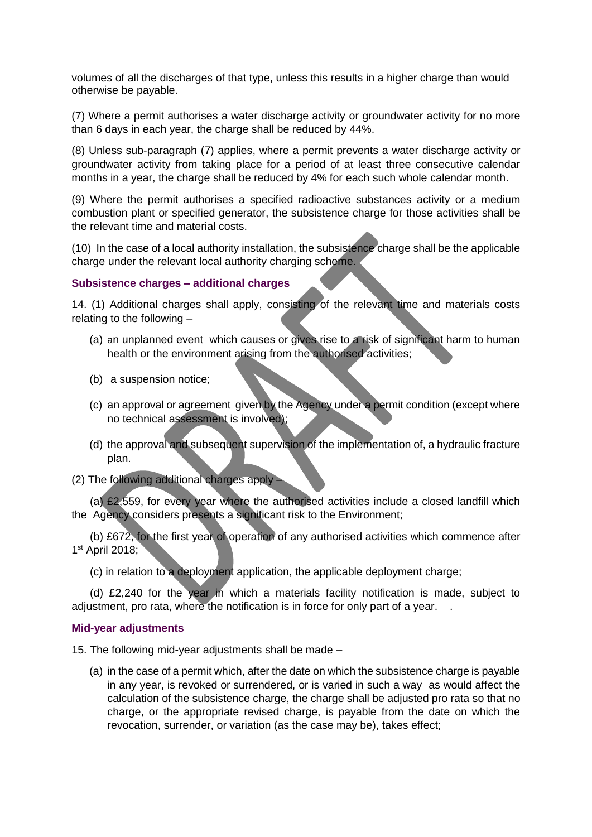volumes of all the discharges of that type, unless this results in a higher charge than would otherwise be payable.

(7) Where a permit authorises a water discharge activity or groundwater activity for no more than 6 days in each year, the charge shall be reduced by 44%.

(8) Unless sub-paragraph (7) applies, where a permit prevents a water discharge activity or groundwater activity from taking place for a period of at least three consecutive calendar months in a year, the charge shall be reduced by 4% for each such whole calendar month.

(9) Where the permit authorises a specified radioactive substances activity or a medium combustion plant or specified generator, the subsistence charge for those activities shall be the relevant time and material costs.

(10) In the case of a local authority installation, the subsistence charge shall be the applicable charge under the relevant local authority charging scheme.

#### **Subsistence charges – additional charges**

14. (1) Additional charges shall apply, consisting of the relevant time and materials costs relating to the following –

- (a) an unplanned event which causes or gives rise to a risk of significant harm to human health or the environment arising from the authorised activities;
- (b) a suspension notice;
- (c) an approval or agreement given by the Agency under a permit condition (except where no technical assessment is involved);
- (d) the approval and subsequent supervision of the implementation of, a hydraulic fracture plan.
- (2) The following additional charges apply –

 (a) £2,559, for every year where the authorised activities include a closed landfill which the Agency considers presents a significant risk to the Environment;

 (b) £672, for the first year of operation of any authorised activities which commence after 1 st April 2018;

(c) in relation to a deployment application, the applicable deployment charge;

 (d) £2,240 for the year in which a materials facility notification is made, subject to adjustment, pro rata, where the notification is in force for only part of a year. .

#### **Mid-year adjustments**

15. The following mid-year adjustments shall be made –

(a) in the case of a permit which, after the date on which the subsistence charge is payable in any year, is revoked or surrendered, or is varied in such a way as would affect the calculation of the subsistence charge, the charge shall be adjusted pro rata so that no charge, or the appropriate revised charge, is payable from the date on which the revocation, surrender, or variation (as the case may be), takes effect;